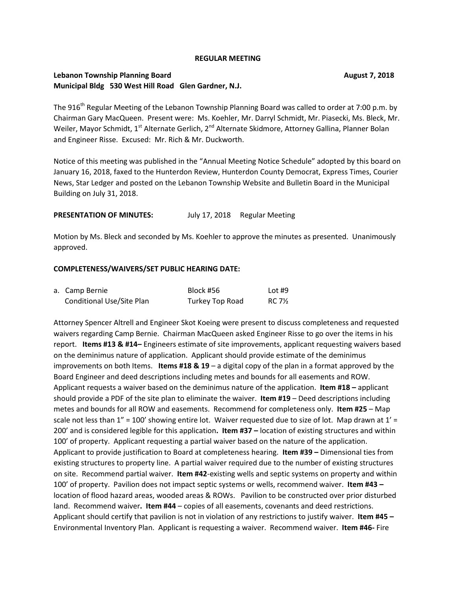#### **REGULAR MEETING**

# **Lebanon Township Planning Board August 7, 2018 Municipal Bldg 530 West Hill Road Glen Gardner, N.J.**

The 916<sup>th</sup> Regular Meeting of the Lebanon Township Planning Board was called to order at 7:00 p.m. by Chairman Gary MacQueen. Present were: Ms. Koehler, Mr. Darryl Schmidt, Mr. Piasecki, Ms. Bleck, Mr. Weiler, Mayor Schmidt, 1<sup>st</sup> Alternate Gerlich, 2<sup>nd</sup> Alternate Skidmore, Attorney Gallina, Planner Bolan and Engineer Risse. Excused: Mr. Rich & Mr. Duckworth.

Notice of this meeting was published in the "Annual Meeting Notice Schedule" adopted by this board on January 16, 2018, faxed to the Hunterdon Review, Hunterdon County Democrat, Express Times, Courier News, Star Ledger and posted on the Lebanon Township Website and Bulletin Board in the Municipal Building on July 31, 2018.

### **PRESENTATION OF MINUTES:** July 17, 2018 Regular Meeting

Motion by Ms. Bleck and seconded by Ms. Koehler to approve the minutes as presented. Unanimously approved.

#### **COMPLETENESS/WAIVERS/SET PUBLIC HEARING DATE:**

| a. Camp Bernie            | Block #56       | Lot $#9$ |
|---------------------------|-----------------|----------|
| Conditional Use/Site Plan | Turkey Top Road | RC 7½    |

Attorney Spencer Altrell and Engineer Skot Koeing were present to discuss completeness and requested waivers regarding Camp Bernie. Chairman MacQueen asked Engineer Risse to go over the items in his report. **Items #13 & #14–** Engineers estimate of site improvements, applicant requesting waivers based on the deminimus nature of application. Applicant should provide estimate of the deminimus improvements on both Items. **Items #18 & 19** – a digital copy of the plan in a format approved by the Board Engineer and deed descriptions including metes and bounds for all easements and ROW. Applicant requests a waiver based on the deminimus nature of the application. **Item #18 –** applicant should provide a PDF of the site plan to eliminate the waiver. **Item #19** – Deed descriptions including metes and bounds for all ROW and easements. Recommend for completeness only. **Item #25** – Map scale not less than  $1'' = 100'$  showing entire lot. Waiver requested due to size of lot. Map drawn at  $1' =$ 200' and is considered legible for this application**. Item #37 –** location of existing structures and within 100' of property. Applicant requesting a partial waiver based on the nature of the application. Applicant to provide justification to Board at completeness hearing. **Item #39 –** Dimensional ties from existing structures to property line. A partial waiver required due to the number of existing structures on site. Recommend partial waiver. **Item #42**-existing wells and septic systems on property and within 100' of property. Pavilion does not impact septic systems or wells, recommend waiver. **Item #43 –** location of flood hazard areas, wooded areas & ROWs. Pavilion to be constructed over prior disturbed land. Recommend waiver**. Item #44** – copies of all easements, covenants and deed restrictions. Applicant should certify that pavilion is not in violation of any restrictions to justify waiver. **Item #45 –** Environmental Inventory Plan. Applicant is requesting a waiver. Recommend waiver. **Item #46-** Fire